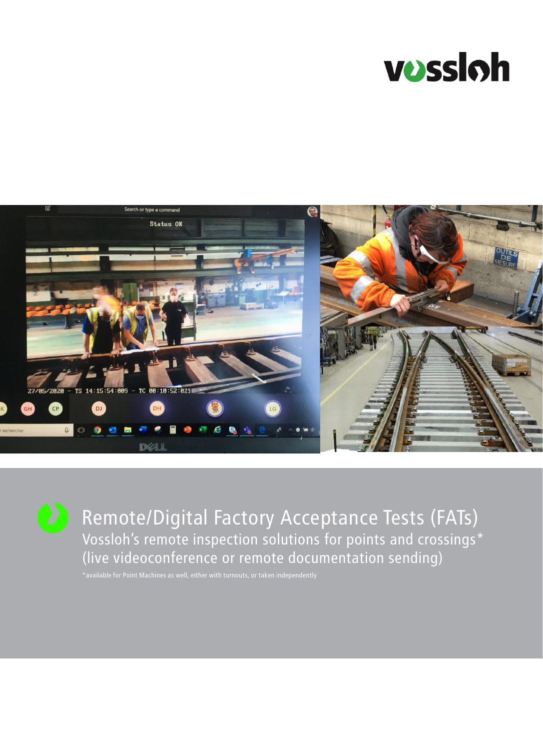



Remote/Digital Factory Acceptance Tests (FATs) Vossloh's remote inspection solutions for points and crossings\* (live videoconference or remote documentation sending)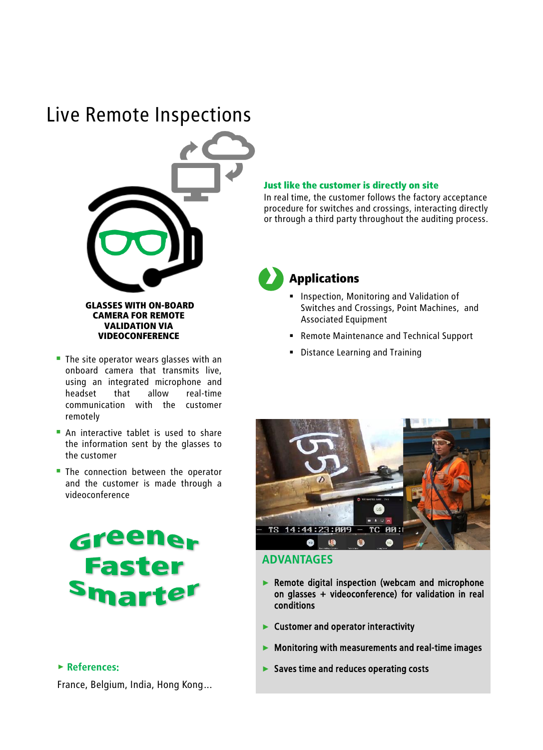# Live Remote Inspections



CAMERA FOR REMOTE VALIDATION VIA VIDEOCONFERENCE

- $\blacksquare$  The site operator wears glasses with an onboard camera that transmits live, using an integrated microphone and headset that allow real-time communication with the customer remotely
- **An interactive tablet is used to share** the information sent by the glasses to the customer
- **The connection between the operator** and the customer is made through a videoconference



## > **References:**

France, Belgium, India, Hong Kong…

#### Just like the customer is directly on site

In real time, the customer follows the factory acceptance procedure for switches and crossings, interacting directly or through a third party throughout the auditing process.



## Applications

- **.** Inspection, Monitoring and Validation of Switches and Crossings, Point Machines, and Associated Equipment
- Remote Maintenance and Technical Support
- Distance Learning and Training



## **ADVANTAGES**

- ► Remote digital inspection (webcam and microphone on glasses + videoconference) for validation in real conditions
- ► Customer and operator interactivity
- ► Monitoring with measurements and real-time images
- ► Saves time and reduces operating costs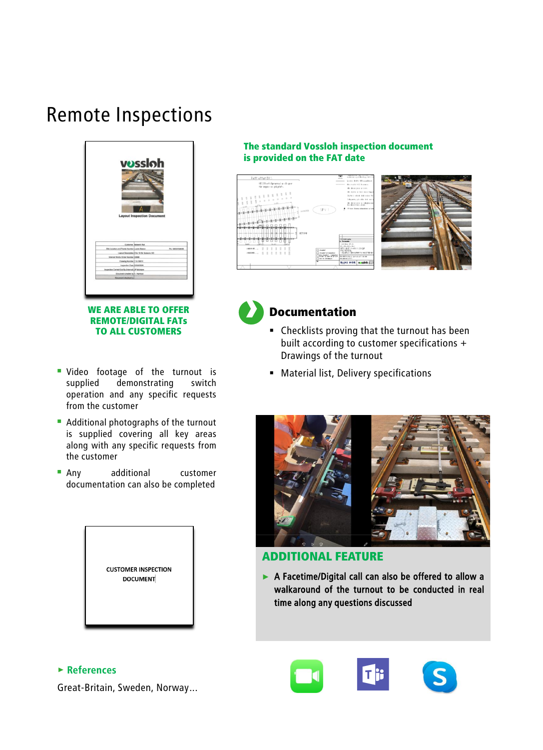# Remote Inspections



WE ARE ABLE TO OFFER REMOTE/DIGITAL FATs TO ALL CUSTOMERS

- **· Video footage of the turnout is** supplied demonstrating switch operation and any specific requests from the customer
- Additional photographs of the turnout is supplied covering all key areas along with any specific requests from the customer
- **E** Any additional customer documentation can also be completed

| <b>CUSTOMER INSPECTION</b><br><b>DOCUMENT</b> |  |
|-----------------------------------------------|--|
|-----------------------------------------------|--|

### The standard Vossloh inspection document is provided on the FAT date







## Documentation

- Checklists proving that the turnout has been built according to customer specifications + Drawings of the turnout
- Material list, Delivery specifications



## ADDITIONAL FEATURE

► A Facetime/Digital call can also be offered to allow a walkaround of the turnout to be conducted in real time along any questions discussed

## > **References**

Great-Britain, Sweden, Norway…